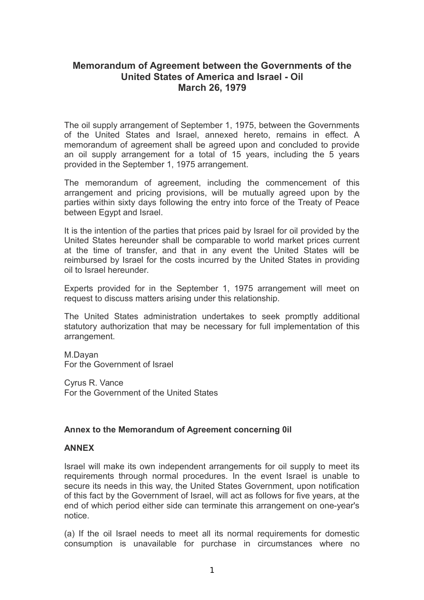## **Memorandum of Agreement between the Governments of the United States of America and Israel - Oil March 26, 1979**

The oil supply arrangement of September 1, 1975, between the Governments of the United States and Israel, annexed hereto, remains in effect. A memorandum of agreement shall be agreed upon and concluded to provide an oil supply arrangement for a total of 15 years, including the 5 years provided in the September 1, 1975 arrangement.

The memorandum of agreement, including the commencement of this arrangement and pricing provisions, will be mutually agreed upon by the parties within sixty days following the entry into force of the Treaty of Peace between Egypt and Israel.

It is the intention of the parties that prices paid by Israel for oil provided by the United States hereunder shall be comparable to world market prices current at the time of transfer, and that in any event the United States will be reimbursed by Israel for the costs incurred by the United States in providing oil to Israel hereunder.

Experts provided for in the September 1, 1975 arrangement will meet on request to discuss matters arising under this relationship.

The United States administration undertakes to seek promptly additional statutory authorization that may be necessary for full implementation of this arrangement.

M.Dayan For the Government of Israel

Cyrus R. Vance For the Government of the United States

## **Annex to the Memorandum of Agreement concerning 0il**

## **ANNEX**

Israel will make its own independent arrangements for oil supply to meet its requirements through normal procedures. In the event Israel is unable to secure its needs in this way, the United States Government, upon notification of this fact by the Government of Israel, will act as follows for five years, at the end of which period either side can terminate this arrangement on one-year's notice.

(a) If the oil Israel needs to meet all its normal requirements for domestic consumption is unavailable for purchase in circumstances where no